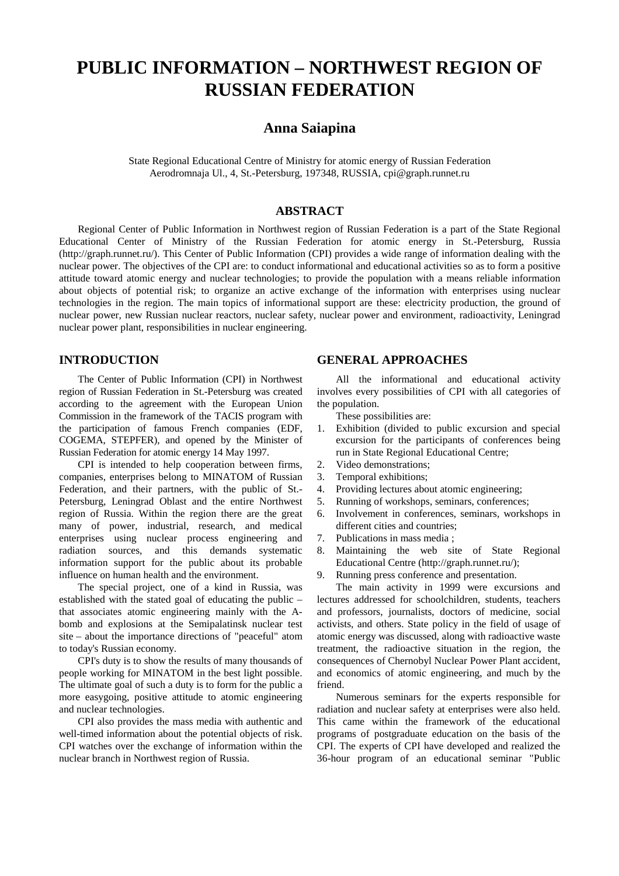# **PUBLIC INFORMATION – NORTHWEST REGION OF RUSSIAN FEDERATION**

# **Anna Saiapina**

State Regional Educational Centre of Ministry for atomic energy of Russian Federation Aerodromnaja Ul., 4, St.-Petersburg, 197348, RUSSIA, cpi@graph.runnet.ru

#### **ABSTRACT**

Regional Center of Public Information in Northwest region of Russian Federation is a part of the State Regional Educational Center of Ministry of the Russian Federation for atomic energy in St.-Petersburg, Russia (http://graph.runnet.ru/). This Center of Public Information (CPI) provides a wide range of information dealing with the nuclear power. The objectives of the CPI are: to conduct informational and educational activities so as to form a positive attitude toward atomic energy and nuclear technologies; to provide the population with a means reliable information about objects of potential risk; to organize an active exchange of the information with enterprises using nuclear technologies in the region. The main topics of informational support are these: electricity production, the ground of nuclear power, new Russian nuclear reactors, nuclear safety, nuclear power and environment, radioactivity, Leningrad nuclear power plant, responsibilities in nuclear engineering.

### **INTRODUCTION**

The Center of Public Information (CPI) in Northwest region of Russian Federation in St.-Petersburg was created according to the agreement with the European Union Commission in the framework of the TACIS program with the participation of famous French companies (EDF, COGEMA, STEPFER), and opened by the Minister of Russian Federation for atomic energy 14 May 1997.

CPI is intended to help cooperation between firms, companies, enterprises belong to MINATOM of Russian Federation, and their partners, with the public of St.- Petersburg, Leningrad Oblast and the entire Northwest region of Russia. Within the region there are the great many of power, industrial, research, and medical enterprises using nuclear process engineering and radiation sources, and this demands systematic information support for the public about its probable influence on human health and the environment.

The special project, one of a kind in Russia, was established with the stated goal of educating the public – that associates atomic engineering mainly with the Abomb and explosions at the Semipalatinsk nuclear test site – about the importance directions of "peaceful" atom to today's Russian economy.

CPI's duty is to show the results of many thousands of people working for MINATOM in the best light possible. The ultimate goal of such a duty is to form for the public a more easygoing, positive attitude to atomic engineering and nuclear technologies.

CPI also provides the mass media with authentic and well-timed information about the potential objects of risk. CPI watches over the exchange of information within the nuclear branch in Northwest region of Russia.

# **GENERAL APPROACHES**

All the informational and educational activity involves every possibilities of CPI with all categories of the population.

These possibilities are:

- 1. Exhibition (divided to public excursion and special excursion for the participants of conferences being run in State Regional Educational Centre;
- 2. Video demonstrations;
- 3. Temporal exhibitions;
- 4. Providing lectures about atomic engineering;
- 5. Running of workshops, seminars, conferences;
- 6. Involvement in conferences, seminars, workshops in different cities and countries;
- 7. Publications in mass media ;
- 8. Maintaining the web site of State Regional Educational Centre (http://graph.runnet.ru/);
- 9. Running press conference and presentation.

The main activity in 1999 were excursions and lectures addressed for schoolchildren, students, teachers and professors, journalists, doctors of medicine, social activists, and others. State policy in the field of usage of atomic energy was discussed, along with radioactive waste treatment, the radioactive situation in the region, the consequences of Chernobyl Nuclear Power Plant accident, and economics of atomic engineering, and much by the friend.

Numerous seminars for the experts responsible for radiation and nuclear safety at enterprises were also held. This came within the framework of the educational programs of postgraduate education on the basis of the CPI. The experts of CPI have developed and realized the 36-hour program of an educational seminar "Public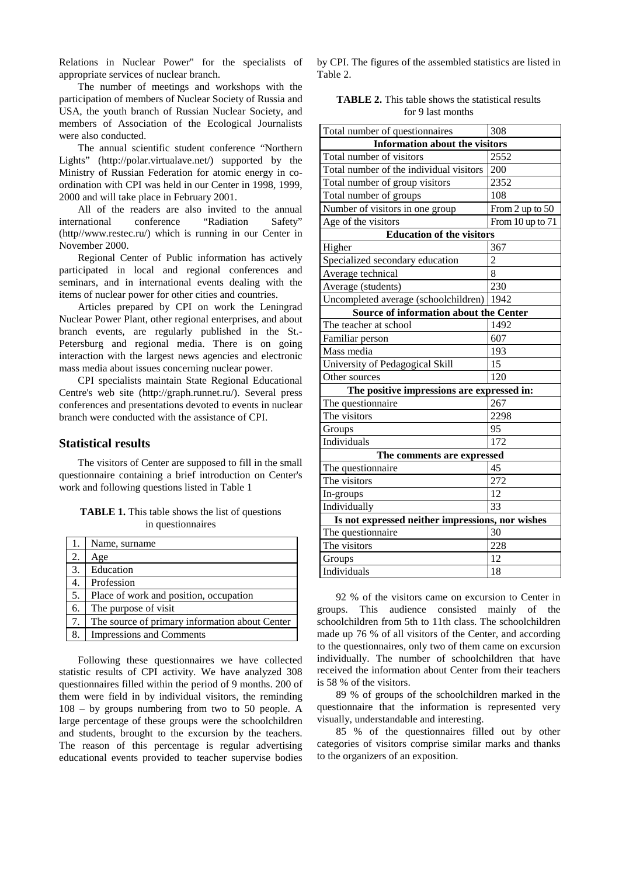Relations in Nuclear Power" for the specialists of appropriate services of nuclear branch.

The number of meetings and workshops with the participation of members of Nuclear Society of Russia and USA, the youth branch of Russian Nuclear Society, and members of Association of the Ecological Journalists were also conducted.

The annual scientific student conference "Northern Lights" (http://polar.virtualave.net/) supported by the Ministry of Russian Federation for atomic energy in coordination with CPI was held in our Center in 1998, 1999, 2000 and will take place in February 2001.

All of the readers are also invited to the annual international conference "Radiation Safety" (http//www.restec.ru/) which is running in our Center in November 2000.

Regional Center of Public information has actively participated in local and regional conferences and seminars, and in international events dealing with the items of nuclear power for other cities and countries.

Articles prepared by CPI on work the Leningrad Nuclear Power Plant, other regional enterprises, and about branch events, are regularly published in the St.- Petersburg and regional media. There is on going interaction with the largest news agencies and electronic mass media about issues concerning nuclear power.

CPI specialists maintain State Regional Educational Centre's web site (http://graph.runnet.ru/). Several press conferences and presentations devoted to events in nuclear branch were conducted with the assistance of CPI.

#### **Statistical results**

The visitors of Center are supposed to fill in the small questionnaire containing a brief introduction on Center's work and following questions listed in Table 1

**TABLE 1.** This table shows the list of questions in questionnaires

| 1. | Name, surname                                  |
|----|------------------------------------------------|
| 2. | Age                                            |
| 3. | Education                                      |
|    | Profession                                     |
| 5. | Place of work and position, occupation         |
| 6. | The purpose of visit                           |
| 7. | The source of primary information about Center |
| 8. | Impressions and Comments                       |

Following these questionnaires we have collected statistic results of CPI activity. We have analyzed 308 questionnaires filled within the period of 9 months. 200 of them were field in by individual visitors, the reminding 108 – by groups numbering from two to 50 people. A large percentage of these groups were the schoolchildren and students, brought to the excursion by the teachers. The reason of this percentage is regular advertising educational events provided to teacher supervise bodies by CPI. The figures of the assembled statistics are listed in Table 2.

**TABLE 2.** This table shows the statistical results for 9 last months

| Total number of questionnaires                   | 308              |  |  |
|--------------------------------------------------|------------------|--|--|
| <b>Information about the visitors</b>            |                  |  |  |
| Total number of visitors                         | 2552             |  |  |
| Total number of the individual visitors          | 200              |  |  |
| Total number of group visitors                   | 2352             |  |  |
| Total number of groups                           | 108              |  |  |
| Number of visitors in one group                  | From 2 up to 50  |  |  |
| Age of the visitors                              | From 10 up to 71 |  |  |
| <b>Education of the visitors</b>                 |                  |  |  |
| Higher                                           | 367              |  |  |
| Specialized secondary education                  | $\overline{2}$   |  |  |
| Average technical                                | 8                |  |  |
| Average (students)                               | 230              |  |  |
| Uncompleted average (schoolchildren)             | 1942             |  |  |
| Source of information about the Center           |                  |  |  |
| The teacher at school                            | 1492             |  |  |
| Familiar person                                  | 607              |  |  |
| Mass media                                       | 193              |  |  |
| University of Pedagogical Skill                  | 15               |  |  |
| Other sources                                    | 120              |  |  |
| The positive impressions are expressed in:       |                  |  |  |
| The questionnaire                                | 267              |  |  |
| The visitors                                     | 2298             |  |  |
| Groups                                           | 95               |  |  |
| Individuals                                      | 172              |  |  |
| The comments are expressed                       |                  |  |  |
| The questionnaire                                | 45               |  |  |
| The visitors                                     | 272              |  |  |
| In-groups                                        | 12               |  |  |
| Individually                                     | 33               |  |  |
| Is not expressed neither impressions, nor wishes |                  |  |  |
| The questionnaire                                | 30               |  |  |
| The visitors                                     | 228              |  |  |
| Groups                                           | 12               |  |  |
| Individuals                                      | 18               |  |  |

92 % of the visitors came on excursion to Center in groups. This audience consisted mainly of the schoolchildren from 5th to 11th class. The schoolchildren made up 76 % of all visitors of the Center, and according to the questionnaires, only two of them came on excursion individually. The number of schoolchildren that have received the information about Center from their teachers is 58 % of the visitors.

89 % of groups of the schoolchildren marked in the questionnaire that the information is represented very visually, understandable and interesting.

85 % of the questionnaires filled out by other categories of visitors comprise similar marks and thanks to the organizers of an exposition.